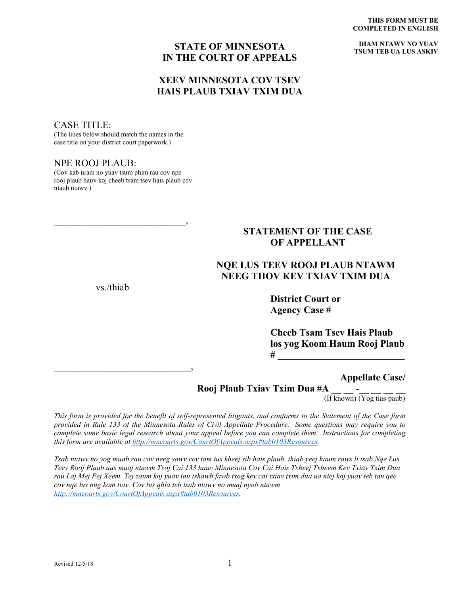**DIAM NTAWV NO YUAV TSUM TEB UA LUS ASKIV**

#### **STATE OF MINNESOTA IN THE COURT OF APPEALS**

#### **XEEV MINNESOTA COV TSEV HAIS PLAUB TXIAV TXIM DUA**

#### CASE TITLE:

(The lines below should match the names in the case title on your district court paperwork.)

#### NPE ROOJ PLAUB:

(Cov kab nram no yuav tsum phim rau cov npe rooj plaub hauv koj cheeb tsam tsev hais plaub cov ntaub ntawv.)

 $\overline{\phantom{a}}$  , and the contract of the contract of the contract of the contract of the contract of the contract of the contract of the contract of the contract of the contract of the contract of the contract of the contrac

#### **STATEMENT OF THE CASE OF APPELLANT**

## **NQE LUS TEEV ROOJ PLAUB NTAWM NEEG THOV KEV TXIAV TXIM DUA**

vs./thiab

\_\_\_\_\_\_\_\_\_\_\_\_\_\_\_\_\_\_\_\_\_\_\_\_\_\_\_\_,

**District Court or Agency Case #**

**Cheeb Tsam Tsev Hais Plaub los yog Koom Haum Rooj Plaub # \_\_\_\_\_\_\_\_\_\_\_\_\_\_\_\_\_\_\_\_\_\_\_\_\_\_**

**Appellate Case/**

# **Rooj Plaub Txiav Txim Dua #A \_\_ \_\_ -\_\_ \_\_ \_\_ \_\_** (If known) (Yog tias paub)

*This form is provided for the benefit of self-represented litigants, and conforms to the Statement of the Case form provided in Rule 133 of the Minnesota Rules of Civil Appellate Procedure. Some questions may require you to complete some basic legal research about your appeal before you can complete them. Instructions for completing this form are available at [http://mncourts.gov/CourtOfAppeals.aspx#tab0103Resources.](http://mncourts.gov/CourtOfAppeals.aspx%23tab0103Resources)* 

*Tsab ntawv no yog muab rau cov neeg sawv cev tam tus kheej sib hais plaub, thiab yeej haum raws li tsab Nqe Lus Teev Rooj Plaub uas muaj ntawm Txoj Cai 133 hauv Minnesota Cov Cai Hais Txheej Txheem Kev Txiav Txim Dua rau Laj Mej Pej Xeem. Tej zaum koj yuav tau tshawb fawb txog kev cai txiav txim dua ua ntej koj yuav teb tau qee cov nqe lus nug kom tiav. Cov lus qhia teb tsab ntawv no muaj nyob ntawm [http://mncourts.gov/CourtOfAppeals.aspx#tab0103Resources.](http://mncourts.gov/CourtOfAppeals.aspx%23tab0103Resources)*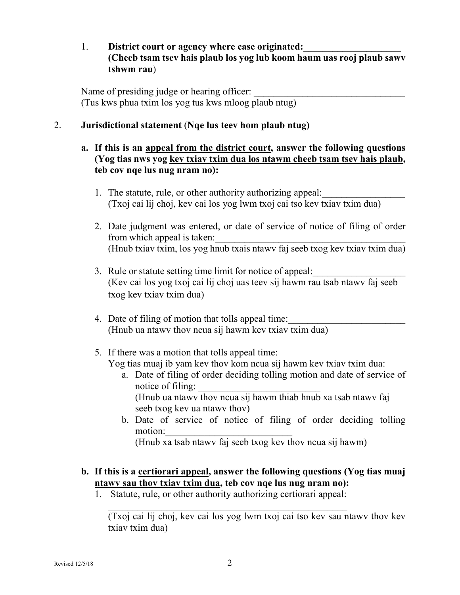## 1. **District court or agency where case originated:**\_\_\_\_\_\_\_\_\_\_\_\_\_\_\_\_\_\_\_\_ **(Cheeb tsam tsev hais plaub los yog lub koom haum uas rooj plaub sawv tshwm rau**)

Name of presiding judge or hearing officer: (Tus kws phua txim los yog tus kws mloog plaub ntug)

## 2. **Jurisdictional statement** (**Nqe lus teev hom plaub ntug)**

## **a. If this is an appeal from the district court, answer the following questions (Yog tias nws yog kev txiav txim dua los ntawm cheeb tsam tsev hais plaub, teb cov nqe lus nug nram no):**

- 1. The statute, rule, or other authority authorizing appeal: (Txoj cai lij choj, kev cai los yog lwm txoj cai tso kev txiav txim dua)
- 2. Date judgment was entered, or date of service of notice of filing of order from which appeal is taken: (Hnub txiav txim, los yog hnub txais ntawv faj seeb txog kev txiav txim dua)
- 3. Rule or statute setting time limit for notice of appeal: (Kev cai los yog txoj cai lij choj uas teev sij hawm rau tsab ntawv faj seeb txog kev txiav txim dua)
- 4. Date of filing of motion that tolls appeal time: (Hnub ua ntawv thov ncua sij hawm kev txiav txim dua)
- 5. If there was a motion that tolls appeal time: Yog tias muaj ib yam kev thov kom ncua sij hawm kev txiav txim dua:
	- a. Date of filing of order deciding tolling motion and date of service of notice of filing:

(Hnub ua ntawv thov ncua sij hawm thiab hnub xa tsab ntawv faj seeb txog kev ua ntawv thov)

b. Date of service of notice of filing of order deciding tolling motion:

(Hnub xa tsab ntawv faj seeb txog kev thov ncua sij hawm)

## **b. If this is a certiorari appeal, answer the following questions (Yog tias muaj ntawv sau thov txiav txim dua, teb cov nqe lus nug nram no):**

1. Statute, rule, or other authority authorizing certiorari appeal:

 $\mathcal{L}_\text{max}$  and  $\mathcal{L}_\text{max}$  and  $\mathcal{L}_\text{max}$  and  $\mathcal{L}_\text{max}$  and  $\mathcal{L}_\text{max}$ 

(Txoj cai lij choj, kev cai los yog lwm txoj cai tso kev sau ntawv thov kev txiav txim dua)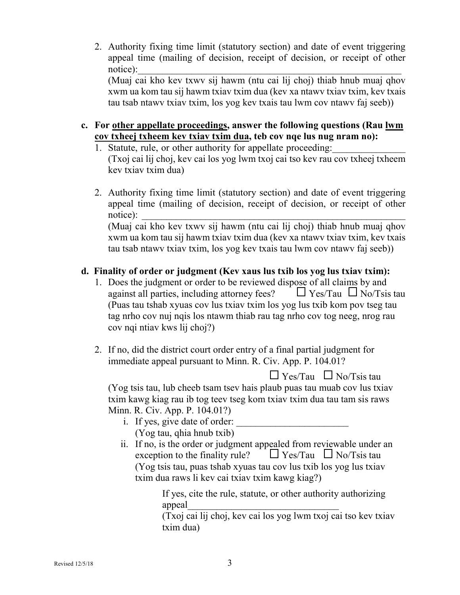2. Authority fixing time limit (statutory section) and date of event triggering appeal time (mailing of decision, receipt of decision, or receipt of other notice):  $\blacksquare$ 

(Muaj cai kho kev txwv sij hawm (ntu cai lij choj) thiab hnub muaj qhov xwm ua kom tau sij hawm txiav txim dua (kev xa ntawv txiav txim, kev txais tau tsab ntawv txiav txim, los yog kev txais tau lwm cov ntawv faj seeb))

- **c. For other appellate proceedings, answer the following questions (Rau lwm cov txheej txheem kev txiav txim dua, teb cov nqe lus nug nram no):**
	- 1. Statute, rule, or other authority for appellate proceeding: (Txoj cai lij choj, kev cai los yog lwm txoj cai tso kev rau cov txheej txheem
	- kev txiav txim dua) 2. Authority fixing time limit (statutory section) and date of event triggering
	- appeal time (mailing of decision, receipt of decision, or receipt of other notice): \_\_\_\_\_\_\_\_\_\_\_\_\_\_\_\_\_\_\_\_\_\_\_\_\_\_\_\_\_\_\_\_\_\_\_\_\_\_\_\_\_\_\_\_\_\_\_\_\_\_\_\_\_\_

(Muaj cai kho kev txwv sij hawm (ntu cai lij choj) thiab hnub muaj qhov xwm ua kom tau sij hawm txiav txim dua (kev xa ntawv txiav txim, kev txais tau tsab ntawv txiav txim, los yog kev txais tau lwm cov ntawv faj seeb))

# **d. Finality of order or judgment (Kev xaus lus txib los yog lus txiav txim):**

- 1. Does the judgment or order to be reviewed dispose of all claims by and against all parties, including attorney fees?  $\Box$  Yes/Tau  $\Box$  No/Tsis tau (Puas tau tshab xyuas cov lus txiav txim los yog lus txib kom pov tseg tau tag nrho cov nuj nqis los ntawm thiab rau tag nrho cov tog neeg, nrog rau cov nqi ntiav kws lij choj?)
- 2. If no, did the district court order entry of a final partial judgment for immediate appeal pursuant to Minn. R. Civ. App. P. 104.01?

 $\Box$  Yes/Tau  $\Box$  No/Tsis tau (Yog tsis tau, lub cheeb tsam tsev hais plaub puas tau muab cov lus txiav txim kawg kiag rau ib tog teev tseg kom txiav txim dua tau tam sis raws Minn. R. Civ. App. P. 104.01?)

- i. If yes, give date of order: (Yog tau, qhia hnub txib)
- ii. If no, is the order or judgment appealed from reviewable under an exception to the finality rule?  $\Box$  Yes/Tau  $\Box$  No/Tsis tau (Yog tsis tau, puas tshab xyuas tau cov lus txib los yog lus txiav txim dua raws li kev cai txiav txim kawg kiag?)

If yes, cite the rule, statute, or other authority authorizing appeal\_\_\_\_\_\_\_\_\_\_\_\_\_\_\_\_\_\_\_\_\_\_\_\_\_\_\_\_\_\_\_

(Txoj cai lij choj, kev cai los yog lwm txoj cai tso kev txiav txim dua)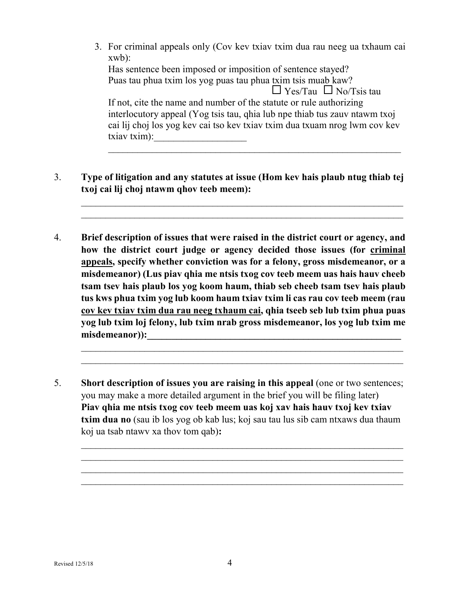- 3. For criminal appeals only (Cov kev txiav txim dua rau neeg ua txhaum cai xwb): Has sentence been imposed or imposition of sentence stayed? Puas tau phua txim los yog puas tau phua txim tsis muab kaw?  $\Box$  Yes/Tau  $\Box$  No/Tsis tau If not, cite the name and number of the statute or rule authorizing interlocutory appeal (Yog tsis tau, qhia lub npe thiab tus zauv ntawm txoj cai lij choj los yog kev cai tso kev txiav txim dua txuam nrog lwm cov kev txiav txim):  $\qquad \qquad \qquad$  $\_$  , and the set of the set of the set of the set of the set of the set of the set of the set of the set of the set of the set of the set of the set of the set of the set of the set of the set of the set of the set of th
- 3. **Type of litigation and any statutes at issue (Hom kev hais plaub ntug thiab tej txoj cai lij choj ntawm qhov teeb meem):**

 $\_$  , and the set of the set of the set of the set of the set of the set of the set of the set of the set of the set of the set of the set of the set of the set of the set of the set of the set of the set of the set of th  $\_$  , and the set of the set of the set of the set of the set of the set of the set of the set of the set of the set of the set of the set of the set of the set of the set of the set of the set of the set of the set of th

4. **Brief description of issues that were raised in the district court or agency, and how the district court judge or agency decided those issues (for criminal appeals, specify whether conviction was for a felony, gross misdemeanor, or a misdemeanor) (Lus piav qhia me ntsis txog cov teeb meem uas hais hauv cheeb tsam tsev hais plaub los yog koom haum, thiab seb cheeb tsam tsev hais plaub tus kws phua txim yog lub koom haum txiav txim li cas rau cov teeb meem (rau cov kev txiav txim dua rau neeg txhaum cai, qhia tseeb seb lub txim phua puas yog lub txim loj felony, lub txim nrab gross misdemeanor, los yog lub txim me**  misdemeanor)):

 $\mathcal{L}_\text{max}$  and  $\mathcal{L}_\text{max}$  and  $\mathcal{L}_\text{max}$  and  $\mathcal{L}_\text{max}$  and  $\mathcal{L}_\text{max}$  and  $\mathcal{L}_\text{max}$  $\_$  , and the set of the set of the set of the set of the set of the set of the set of the set of the set of the set of the set of the set of the set of the set of the set of the set of the set of the set of the set of th

 $\mathcal{L}_\text{max}$  and  $\mathcal{L}_\text{max}$  and  $\mathcal{L}_\text{max}$  and  $\mathcal{L}_\text{max}$  and  $\mathcal{L}_\text{max}$  and  $\mathcal{L}_\text{max}$  $\mathcal{L}_\text{max}$  and  $\mathcal{L}_\text{max}$  and  $\mathcal{L}_\text{max}$  and  $\mathcal{L}_\text{max}$  and  $\mathcal{L}_\text{max}$  and  $\mathcal{L}_\text{max}$  $\mathcal{L}_\text{max}$  and  $\mathcal{L}_\text{max}$  and  $\mathcal{L}_\text{max}$  and  $\mathcal{L}_\text{max}$  and  $\mathcal{L}_\text{max}$  and  $\mathcal{L}_\text{max}$  $\mathcal{L}_\text{max}$  and  $\mathcal{L}_\text{max}$  and  $\mathcal{L}_\text{max}$  and  $\mathcal{L}_\text{max}$  and  $\mathcal{L}_\text{max}$  and  $\mathcal{L}_\text{max}$ 

5. **Short description of issues you are raising in this appeal** (one or two sentences; you may make a more detailed argument in the brief you will be filing later) **Piav qhia me ntsis txog cov teeb meem uas koj xav hais hauv txoj kev txiav txim dua no** (sau ib los yog ob kab lus; koj sau tau lus sib cam ntxaws dua thaum koj ua tsab ntawv xa thov tom qab)**:**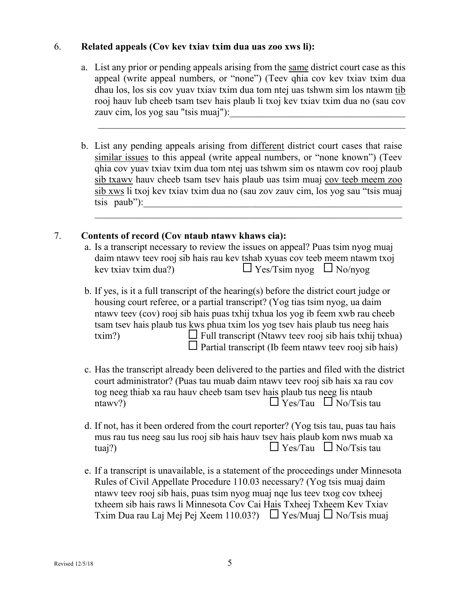#### 6. **Related appeals (Cov kev txiav txim dua uas zoo xws li):**

a. List any prior or pending appeals arising from the same district court case as this appeal (write appeal numbers, or "none") (Teev qhia cov kev txiav txim dua dhau los, los sis cov yuav txiav txim dua tom ntej uas tshwm sim los ntawm tib rooj hauv lub cheeb tsam tsev hais plaub li txoj kev txiav txim dua no (sau cov zauv cim, los yog sau "tsis muaj"):

 $\_$  , and the contribution of the contribution of  $\mathcal{L}_\mathcal{A}$  , and the contribution of  $\mathcal{L}_\mathcal{A}$ 

b. List any pending appeals arising from different district court cases that raise similar issues to this appeal (write appeal numbers, or "none known") (Teev qhia cov yuav txiav txim dua tom ntej uas tshwm sim os ntawm cov rooj plaub sib txawv hauv cheeb tsam tsev hais plaub uas tsim muaj cov teeb meem zoo sib xws li txoj kev txiav txim dua no (sau zov zauv cim, los yog sau "tsis muaj tsis paub"):

 $\_$  , and the contribution of the contribution of  $\mathcal{L}_1$  , and  $\mathcal{L}_2$  , and  $\mathcal{L}_3$  , and  $\mathcal{L}_4$  , and  $\mathcal{L}_5$ 

#### 7. **Contents of record (Cov ntaub ntawv khaws cia):**

- a. Is a transcript necessary to review the issues on appeal? Puas tsim nyog muaj daim ntawv teev rooj sib hais rau kev tshab xyuas cov teeb meem ntawm txoj kev txiav txim dua?)  $\Box$  Yes/Tsim nyog  $\Box$  No/nyog
- b. If yes, is it a full transcript of the hearing(s) before the district court judge or housing court referee, or a partial transcript? (Yog tias tsim nyog, ua daim ntawv teev (cov) rooj sib hais puas txhij txhua los yog ib feem xwb rau cheeb tsam tsev hais plaub tus kws phua txim los yog tsev hais plaub tus neeg hais  $\Box$  Full transcript (Ntawy teev rooj sib hais txhij txhua)  $\square$  Partial transcript (Ib feem ntawv teev rooj sib hais)
- c. Has the transcript already been delivered to the parties and filed with the district court administrator? (Puas tau muab daim ntawv teev rooj sib hais xa rau cov tog neeg thiab xa rau hauv cheeb tsam tsev hais plaub tus neeg lis ntaub ntawv?)  $\Box$  Yes/Tau  $\Box$  No/Tsis tau
- d. If not, has it been ordered from the court reporter? (Yog tsis tau, puas tau hais mus rau tus neeg sau lus rooj sib hais hauv tsev hais plaub kom nws muab xa tuaj?)  $\Box$  Yes/Tau  $\Box$  No/Tsis tau
- e. If a transcript is unavailable, is a statement of the proceedings under Minnesota Rules of Civil Appellate Procedure 110.03 necessary? (Yog tsis muaj daim ntawv teev rooj sib hais, puas tsim nyog muaj nqe lus teev txog cov txheej txheem sib hais raws li Minnesota Cov Cai Hais Txheej Txheem Kev Txiav Txim Dua rau Laj Mej Pej Xeem 110.03?)  $\Box$  Yes/Muaj  $\Box$  No/Tsis muaj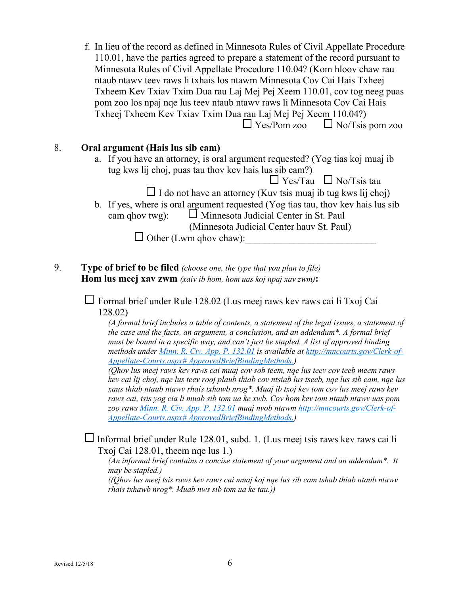f. In lieu of the record as defined in Minnesota Rules of Civil Appellate Procedure 110.01, have the parties agreed to prepare a statement of the record pursuant to Minnesota Rules of Civil Appellate Procedure 110.04? (Kom hloov chaw rau ntaub ntawv teev raws li txhais los ntawm Minnesota Cov Cai Hais Txheej Txheem Kev Txiav Txim Dua rau Laj Mej Pej Xeem 110.01, cov tog neeg puas pom zoo los npaj nqe lus teev ntaub ntawv raws li Minnesota Cov Cai Hais Txheej Txheem Kev Txiav Txim Dua rau Laj Mej Pej Xeem 110.04?)  $\Box$  Yes/Pom zoo  $\Box$  No/Tsis pom zoo

#### 8. **Oral argument (Hais lus sib cam)**

a. If you have an attorney, is oral argument requested? (Yog tias koj muaj ib tug kws lij choj, puas tau thov kev hais lus sib cam?)

 $\Box$  Yes/Tau  $\Box$  No/Tsis tau

 $\Box$  I do not have an attorney (Kuv tsis muaj ib tug kws lij choj)

- b. If yes, where is oral argument requested (Yog tias tau, thov kev hais lus sib cam ghov twg):  $\Box$  Minnesota Judicial Center in St. Paul (Minnesota Judicial Center hauv St. Paul)  $\Box$  Other (Lwm ghov chaw):
- 9. **Type of brief to be filed** *(choose one, the type that you plan to file)* **Hom lus meej xav zwm** *(xaiv ib hom, hom uas koj npaj xav zwm)***:**

 $\Box$  Formal brief under Rule 128.02 (Lus meej raws kev raws cai li Txoj Cai 128.02)

*(A formal brief includes a table of contents, a statement of the legal issues, a statement of the case and the facts, an argument, a conclusion, and an addendum\*. A formal brief must be bound in a specific way, and can't just be stapled. A list of approved binding methods under [Minn. R. Civ. App. P. 132.01](https://www.revisor.mn.gov/court_rules/ap/subtype/rcap/id/132/#132.01) is available at [http://mncourts.gov/Clerk-of-](http://mncourts.gov/Clerk-of-Appellate-Courts.aspx#%20ApprovedBriefBindingMethods)[Appellate-Courts.aspx# ApprovedBriefBindingMethods.](http://mncourts.gov/Clerk-of-Appellate-Courts.aspx#%20ApprovedBriefBindingMethods))*

*(Qhov lus meej raws kev raws cai muaj cov sob teem, nqe lus teev cov teeb meem raws kev cai lij choj, nqe lus teev rooj plaub thiab cov ntsiab lus tseeb, nqe lus sib cam, nqe lus xaus thiab ntaub ntawv rhais txhawb nrog\*. Muaj ib txoj kev tom cov lus meej raws kev raws cai, tsis yog cia li muab sib tom ua ke xwb. Cov hom kev tom ntaub ntawv uas pom zoo raws [Minn. R. Civ. App. P. 132.01](https://www.revisor.mn.gov/court_rules/ap/subtype/rcap/id/132/#132.01) muaj nyob ntawm [http://mncourts.gov/Clerk-of-](http://mncourts.gov/Clerk-of-Appellate-Courts.aspx#%20ApprovedBriefBindingMethods)[Appellate-Courts.aspx# ApprovedBriefBindingMethods.](http://mncourts.gov/Clerk-of-Appellate-Courts.aspx#%20ApprovedBriefBindingMethods))*

Informal brief under Rule 128.01, subd. 1. (Lus meej tsis raws kev raws cai li Txoj Cai 128.01, theem nqe lus 1.)

*(An informal brief contains a concise statement of your argument and an addendum\*. It may be stapled.)*

*((Qhov lus meej tsis raws kev raws cai muaj koj nqe lus sib cam tshab thiab ntaub ntawv rhais txhawb nrog\*. Muab nws sib tom ua ke tau.))*